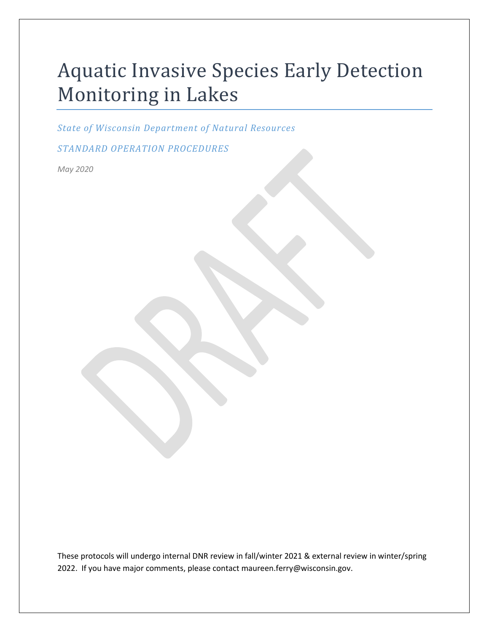# Aquatic Invasive Species Early Detection Monitoring in Lakes

*State of Wisconsin Department of Natural Resources*

*STANDARD OPERATION PROCEDURES*

*May 2020*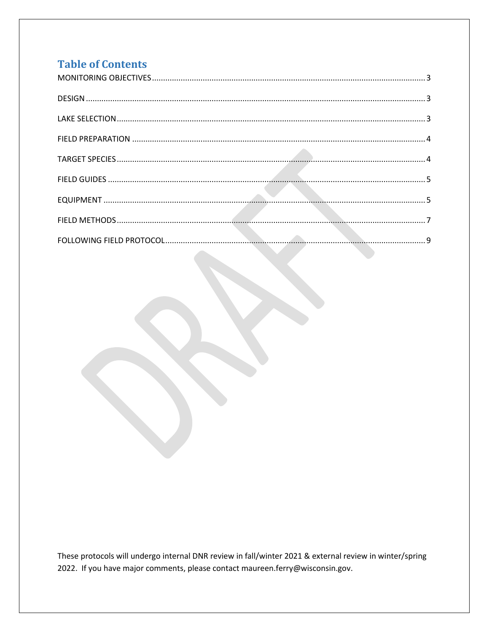## **Table of Contents**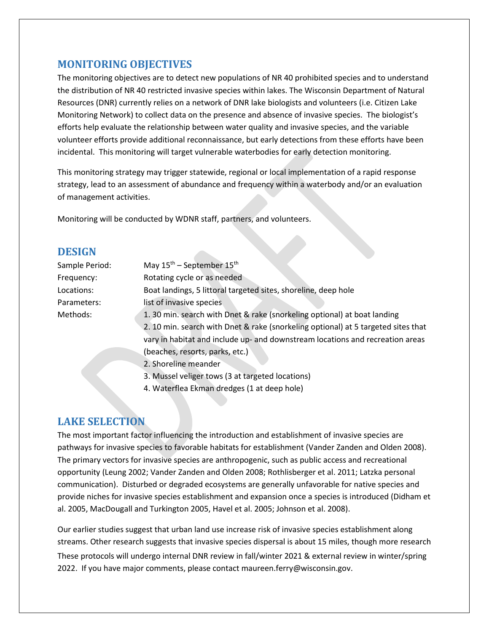## <span id="page-2-0"></span>**MONITORING OBJECTIVES**

The monitoring objectives are to detect new populations of NR 40 prohibited species and to understand the distribution of NR 40 restricted invasive species within lakes. The Wisconsin Department of Natural Resources (DNR) currently relies on a network of DNR lake biologists and volunteers (i.e. Citizen Lake Monitoring Network) to collect data on the presence and absence of invasive species. The biologist's efforts help evaluate the relationship between water quality and invasive species, and the variable volunteer efforts provide additional reconnaissance, but early detections from these efforts have been incidental. This monitoring will target vulnerable waterbodies for early detection monitoring.

This monitoring strategy may trigger statewide, regional or local implementation of a rapid response strategy, lead to an assessment of abundance and frequency within a waterbody and/or an evaluation of management activities.

Monitoring will be conducted by WDNR staff, partners, and volunteers.

## <span id="page-2-1"></span>**DESIGN**

| Sample Period: | May $15^{th}$ – September $15^{th}$                                               |  |  |
|----------------|-----------------------------------------------------------------------------------|--|--|
| Frequency:     | Rotating cycle or as needed                                                       |  |  |
| Locations:     | Boat landings, 5 littoral targeted sites, shoreline, deep hole                    |  |  |
| Parameters:    | list of invasive species                                                          |  |  |
| Methods:       | 1. 30 min. search with Dnet & rake (snorkeling optional) at boat landing          |  |  |
|                | 2. 10 min. search with Dnet & rake (snorkeling optional) at 5 targeted sites that |  |  |
|                | vary in habitat and include up- and downstream locations and recreation areas     |  |  |
|                | (beaches, resorts, parks, etc.)                                                   |  |  |
|                | 2. Shoreline meander                                                              |  |  |
|                | 3. Mussel veliger tows (3 at targeted locations)                                  |  |  |
|                | 4. Waterflea Ekman dredges (1 at deep hole)                                       |  |  |

## <span id="page-2-2"></span>**LAKE SELECTION**

The most important factor influencing the introduction and establishment of invasive species are pathways for invasive species to favorable habitats for establishment (Vander Zanden and Olden 2008). The primary vectors for invasive species are anthropogenic, such as public access and recreational opportunity (Leung 2002; Vander Zanden and Olden 2008; Rothlisberger et al. 2011; Latzka personal communication). Disturbed or degraded ecosystems are generally unfavorable for native species and provide niches for invasive species establishment and expansion once a species is introduced (Didham et al. 2005, MacDougall and Turkington 2005, Havel et al. 2005; Johnson et al. 2008).

These protocols will undergo internal DNR review in fall/winter 2021 & external review in winter/spring 2022. If you have major comments, please contact maureen.ferry@wisconsin.gov. Our earlier studies suggest that urban land use increase risk of invasive species establishment along streams. Other research suggests that invasive species dispersal is about 15 miles, though more research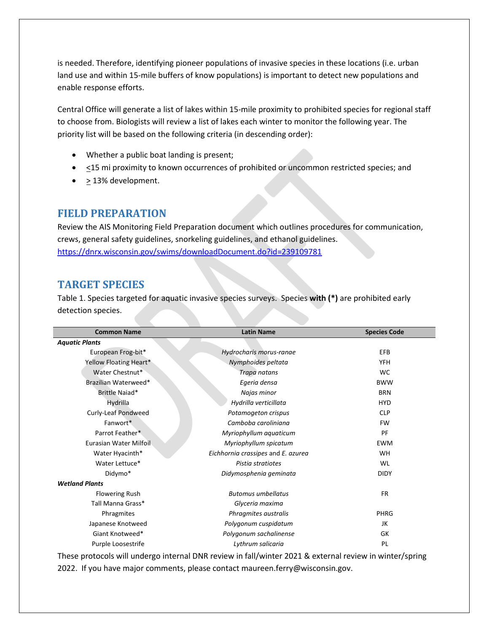is needed. Therefore, identifying pioneer populations of invasive species in these locations (i.e. urban land use and within 15-mile buffers of know populations) is important to detect new populations and enable response efforts.

Central Office will generate a list of lakes within 15-mile proximity to prohibited species for regional staff to choose from. Biologists will review a list of lakes each winter to monitor the following year. The priority list will be based on the following criteria (in descending order):

- Whether a public boat landing is present;
- $\bullet$   $\leq$ 15 mi proximity to known occurrences of prohibited or uncommon restricted species; and
- > 13% development.

## <span id="page-3-0"></span>**FIELD PREPARATION**

Review the AIS Monitoring Field Preparation document which outlines procedures for communication, crews, general safety guidelines, snorkeling guidelines, and ethanol guidelines. <https://dnrx.wisconsin.gov/swims/downloadDocument.do?id=239109781>

## <span id="page-3-1"></span>**TARGET SPECIES**

Table 1. Species targeted for aquatic invasive species surveys. Species **with (\*)** are prohibited early detection species.

| <b>Common Name</b>     | <b>Latin Name</b>                  | <b>Species Code</b> |
|------------------------|------------------------------------|---------------------|
| <b>Aquatic Plants</b>  |                                    |                     |
| European Frog-bit*     | Hydrocharis morus-ranae            | EFB                 |
| Yellow Floating Heart* | Nymphoides peltata                 | <b>YFH</b>          |
| Water Chestnut*        | Trapa natans                       | <b>WC</b>           |
| Brazilian Waterweed*   | Egeria densa                       | <b>BWW</b>          |
| Brittle Naiad*         | Najas minor                        | <b>BRN</b>          |
| Hydrilla               | Hydrilla verticillata              | <b>HYD</b>          |
| Curly-Leaf Pondweed    | Potamogeton crispus                | <b>CLP</b>          |
| Fanwort*               | Camboba caroliniana                | <b>FW</b>           |
| Parrot Feather*        | Myriophyllum aquaticum             | PF                  |
| Eurasian Water Milfoil | Myriophyllum spicatum              | <b>EWM</b>          |
| Water Hyacinth*        | Eichhornia crassipes and E. azurea | <b>WH</b>           |
| Water Lettuce*         | Pistia stratiotes                  | WL                  |
| Didymo*                | Didymosphenia geminata             | <b>DIDY</b>         |
| <b>Wetland Plants</b>  |                                    |                     |
| <b>Flowering Rush</b>  | <b>Butomus umbellatus</b>          | <b>FR</b>           |
| Tall Manna Grass*      | Glyceria maxima                    |                     |
| Phragmites             | Phragmites australis               | PHRG                |
| Japanese Knotweed      | Polygonum cuspidatum               | JK                  |
| Giant Knotweed*        | Polygonum sachalinense             | GK                  |
| Purple Loosestrife     | Lythrum salicaria                  | PL                  |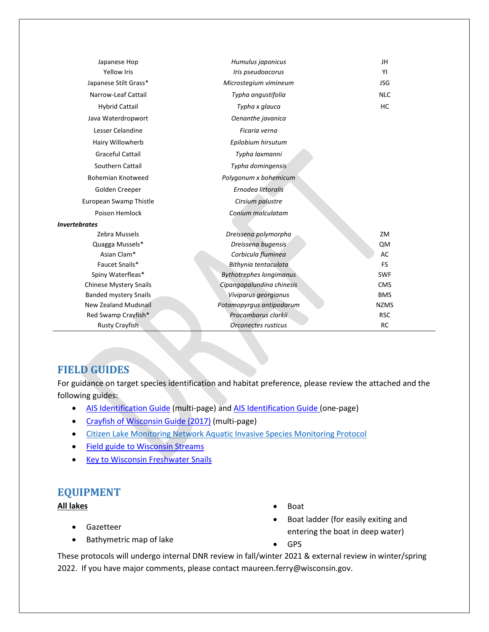| Japanese Hop                  | Humulus japonicus              | JH          |
|-------------------------------|--------------------------------|-------------|
| <b>Yellow Iris</b>            | Iris pseudoacorus              | YI          |
| Japanese Stilt Grass*         | Microstegium vimineum          | <b>JSG</b>  |
| Narrow-Leaf Cattail           | Typha angustifolia             | <b>NLC</b>  |
| <b>Hybrid Cattail</b>         | Typha x glauca                 | HC          |
| Java Waterdropwort            | Oenanthe javanica              |             |
| Lesser Celandine              | Ficaria verna                  |             |
| Hairy Willowherb              | Epilobium hirsutum             |             |
| <b>Graceful Cattail</b>       | Typha laxmanni                 |             |
| Southern Cattail              | Typha domingensis              |             |
| <b>Bohemian Knotweed</b>      | Polygonum x bohemicum          |             |
| Golden Creeper                | Ernodea littoralis             |             |
| European Swamp Thistle        | Cirsium palustre               |             |
| Poison Hemlock                | Conium malculatam              |             |
| Invertebrates                 |                                |             |
| Zebra Mussels                 | Dreissena polymorpha           | ZM          |
| Quagga Mussels*               | Dreissena bugensis             | QM          |
| Asian Clam*                   | Corbicula fluminea             | AC          |
| Faucet Snails*                | Bithynia tentaculata           | <b>FS</b>   |
| Spiny Waterfleas*             | <b>Bythotrephes longimanus</b> | <b>SWF</b>  |
| <b>Chinese Mystery Snails</b> | Cipangopalundina chinesis      | <b>CMS</b>  |
| <b>Banded mystery Snails</b>  | Viviparus georgianus           | <b>BMS</b>  |
| New Zealand Mudsnail          | Potamopyrgus antipodarum       | <b>NZMS</b> |
| Red Swamp Crayfish*           | Procambarus clarkii            | <b>RSC</b>  |
| <b>Rusty Crayfish</b>         | Orconectes rusticus            | <b>RC</b>   |

## <span id="page-4-0"></span>**FIELD GUIDES**

For guidance on target species identification and habitat preference, please review the attached and the following guides:

- AIS [Identification](https://dnrx.wisconsin.gov/swims/downloadDocument.do?id=191057878) Guide (multi-page) an[d AIS Identification Guide \(](https://dnrx.wisconsin.gov/swims/downloadDocument.do?id=145709797)one-page)
- [Crayfish of Wisconsin Guide \(2017\)](https://dnrx.wisconsin.gov/swims/downloadDocument.do?id=145709811) (multi-page)
- [Citizen Lake Monitoring Network Aquatic Invasive Species Monitoring](https://www.uwsp.edu/cnr-ap/UWEXLakes/Pages/programs/clmn/AIS.aspx) Protocol
- [Field guide to Wisconsin Streams](http://uwpress.wisc.edu/books/4887.htm)
- <span id="page-4-1"></span>• [Key to Wisconsin Freshwater Snails](http://northamericanlandsnails.org/WIFreshwaterSnailskey/wifwsnailkey.html)

## **EQUIPMENT**

#### **All lakes**

- Gazetteer
- Bathymetric map of lake
- Boat
- Boat ladder (for easily exiting and entering the boat in deep water)
- GPS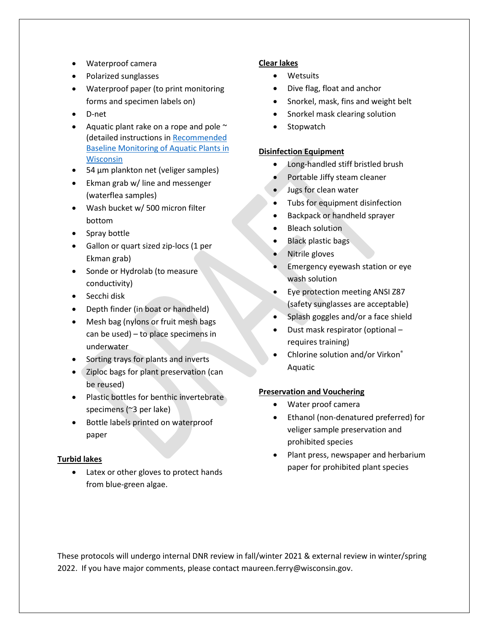- Waterproof camera
- Polarized sunglasses
- Waterproof paper (to print monitoring forms and specimen labels on)
- D-net
- Aquatic plant rake on a rope and pole  $\sim$ (detailed instructions in Recommended Baseline Monitoring of Aquatic Plants in Wisconsin
- 54 µm plankton net (veliger samples)
- Ekman grab w/ line and messenger (waterflea samples)
- Wash bucket w/ 500 micron filter bottom
- Spray bottle
- Gallon or quart sized zip-locs (1 per Ekman grab)
- Sonde or Hydrolab (to measure conductivity)
- Secchi disk
- Depth finder (in boat or handheld)
- Mesh bag (nylons or fruit mesh bags can be used) – to place specimens in underwater
- Sorting trays for plants and inverts
- Ziploc bags for plant preservation (can be reused)
- Plastic bottles for benthic invertebrate specimens (~3 per lake)
- Bottle labels printed on waterproof paper

#### **Turbid lakes**

Latex or other gloves to protect hands from blue-green algae.

#### **Clear lakes**

- Wetsuits
- Dive flag, float and anchor
- Snorkel, mask, fins and weight belt
- Snorkel mask clearing solution
- **Stopwatch**

#### **Disinfection Equipment**

- Long-handled stiff bristled brush
- Portable Jiffy steam cleaner
- Jugs for clean water
- Tubs for equipment disinfection
- Backpack or handheld sprayer
- **Bleach solution**
- Black plastic bags
- Nitrile gloves
- Emergency eyewash station or eye wash solution
- Eye protection meeting ANSI Z87 (safety sunglasses are acceptable)
- Splash goggles and/or a face shield
- Dust mask respirator (optional requires training)
- Chlorine solution and/or Virkon® Aquatic

#### **Preservation and Vouchering**

- Water proof camera
- Ethanol (non-denatured preferred) for veliger sample preservation and prohibited species
- Plant press, newspaper and herbarium paper for prohibited plant species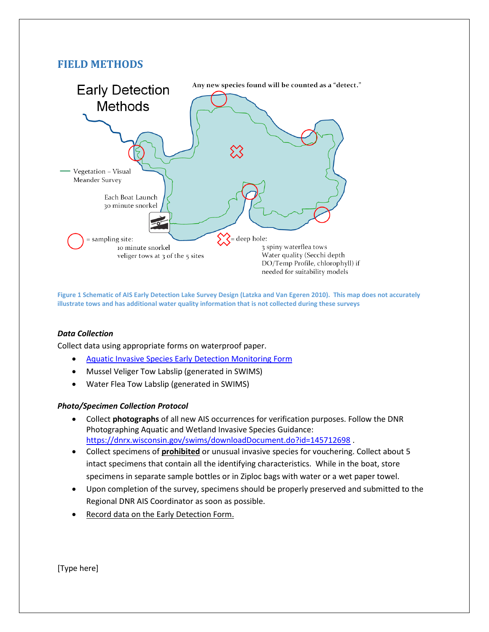## <span id="page-6-0"></span>**FIELD METHODS**



**Figure 1 Schematic of AIS Early Detection Lake Survey Design (Latzka and Van Egeren 2010). This map does not accurately illustrate tows and has additional water quality information that is not collected during these surveys**

#### *Data Collection*

Collect data using appropriate forms on waterproof paper.

- [Aquatic Invasive Species Early Detection Monitoring Form](https://dnrx.wisconsin.gov/swims/downloadDocument.do?id=188257948)
- Mussel Veliger Tow Labslip (generated in SWIMS)
- Water Flea Tow Labslip (generated in SWIMS)

#### *Photo/Specimen Collection Protocol*

- Collect **photographs** of all new AIS occurrences for verification purposes. Follow the DNR Photographing Aquatic and Wetland Invasive Species Guidance: <https://dnrx.wisconsin.gov/swims/downloadDocument.do?id=145712698>.
- Collect specimens of **prohibited** or unusual invasive species for vouchering. Collect about 5 intact specimens that contain all the identifying characteristics. While in the boat, store specimens in separate sample bottles or in Ziploc bags with water or a wet paper towel.
- Upon completion of the survey, specimens should be properly preserved and submitted to the Regional DNR AIS Coordinator as soon as possible.
- Record data on the Early Detection Form.

[Type here]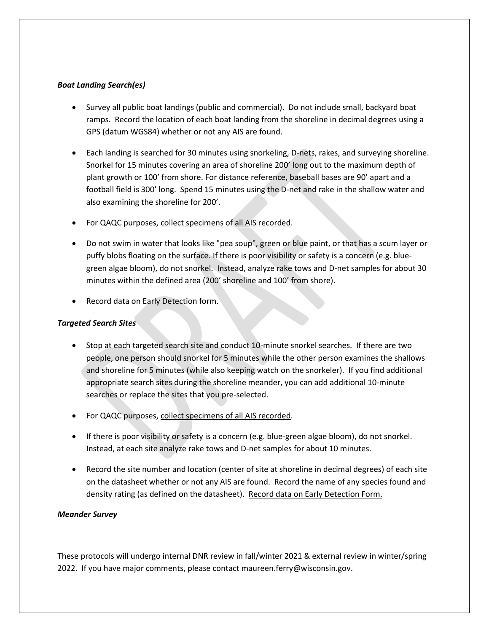#### *Boat Landing Search(es)*

- Survey all public boat landings (public and commercial). Do not include small, backyard boat ramps. Record the location of each boat landing from the shoreline in decimal degrees using a GPS (datum WGS84) whether or not any AIS are found.
- Each landing is searched for 30 minutes using snorkeling, D-nets, rakes, and surveying shoreline. Snorkel for 15 minutes covering an area of shoreline 200' long out to the maximum depth of plant growth or 100' from shore. For distance reference, baseball bases are 90' apart and a football field is 300' long. Spend 15 minutes using the D-net and rake in the shallow water and also examining the shoreline for 200'.
- For QAQC purposes, collect specimens of all AIS recorded.
- Do not swim in water that looks like "pea soup", green or blue paint, or that has a scum layer or puffy blobs floating on the surface. If there is poor visibility or safety is a concern (e.g. bluegreen algae bloom), do not snorkel. Instead, analyze rake tows and D-net samples for about 30 minutes within the defined area (200' shoreline and 100' from shore).
- Record data on Early Detection form.

#### *Targeted Search Sites*

- Stop at each targeted search site and conduct 10-minute snorkel searches.If there are two people, one person should snorkel for 5 minutes while the other person examines the shallows and shoreline for 5 minutes (while also keeping watch on the snorkeler). If you find additional appropriate search sites during the shoreline meander, you can add additional 10-minute searches or replace the sites that you pre-selected.
- For QAQC purposes, collect specimens of all AIS recorded.
- If there is poor visibility or safety is a concern (e.g. blue-green algae bloom), do not snorkel. Instead, at each site analyze rake tows and D-net samples for about 10 minutes.
- Record the site number and location (center of site at shoreline in decimal degrees) of each site on the datasheet whether or not any AIS are found. Record the name of any species found and density rating (as defined on the datasheet). Record data on Early Detection Form.

#### *Meander Survey*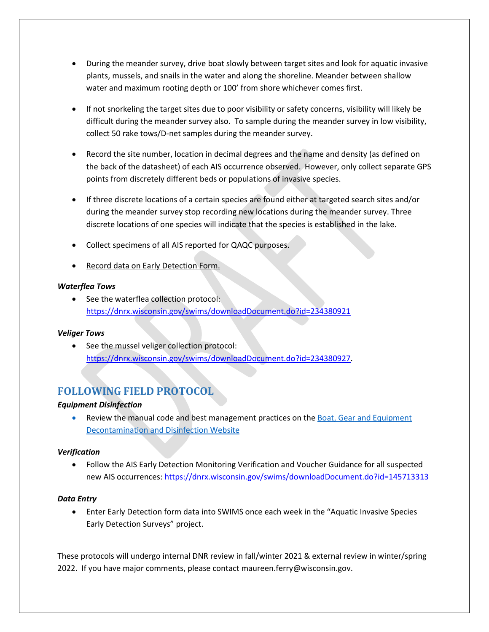- During the meander survey, drive boat slowly between target sites and look for aquatic invasive plants, mussels, and snails in the water and along the shoreline. Meander between shallow water and maximum rooting depth or 100' from shore whichever comes first.
- If not snorkeling the target sites due to poor visibility or safety concerns, visibility will likely be difficult during the meander survey also. To sample during the meander survey in low visibility, collect 50 rake tows/D-net samples during the meander survey.
- Record the site number, location in decimal degrees and the name and density (as defined on the back of the datasheet) of each AIS occurrence observed. However, only collect separate GPS points from discretely different beds or populations of invasive species.
- If three discrete locations of a certain species are found either at targeted search sites and/or during the meander survey stop recording new locations during the meander survey. Three discrete locations of one species will indicate that the species is established in the lake.
- Collect specimens of all AIS reported for QAQC purposes.
- Record data on Early Detection Form.

#### *Waterflea Tows*

• See the waterflea collection protocol: <https://dnrx.wisconsin.gov/swims/downloadDocument.do?id=234380921>

#### *Veliger Tows*

• See the mussel veliger collection protocol: [https://dnrx.wisconsin.gov/swims/downloadDocument.do?id=234380927.](https://dnrx.wisconsin.gov/swims/downloadDocument.do?id=234380927)

## <span id="page-8-0"></span>**FOLLOWING FIELD PROTOCOL**

#### *Equipment Disinfection*

• Review the manual code and best management practices on the Boat, Gear and Equipment [Decontamination and Disinfection Website](http://dnr.wi.gov/topic/invasives/disinfection.html)

#### *Verification*

• Follow the AIS Early Detection Monitoring Verification and Voucher Guidance for all suspected new AIS occurrences:<https://dnrx.wisconsin.gov/swims/downloadDocument.do?id=145713313>

#### *Data Entry*

• Enter Early Detection form data into SWIMS once each week in the "Aquatic Invasive Species Early Detection Surveys" project.